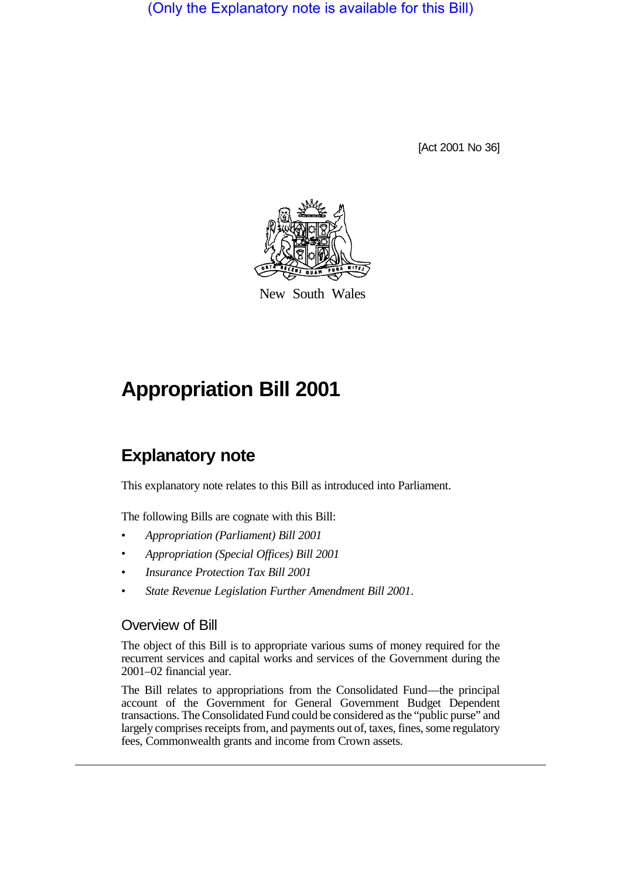(Only the Explanatory note is available for this Bill)

[Act 2001 No 36]



New South Wales

## **Appropriation Bill 2001**

## **Explanatory note**

This explanatory note relates to this Bill as introduced into Parliament.

The following Bills are cognate with this Bill:

- *Appropriation (Parliament) Bill 2001*
- *Appropriation (Special Offices) Bill 2001*
- *Insurance Protection Tax Bill 2001*
- *State Revenue Legislation Further Amendment Bill 2001*.

## Overview of Bill

The object of this Bill is to appropriate various sums of money required for the recurrent services and capital works and services of the Government during the 2001–02 financial year.

The Bill relates to appropriations from the Consolidated Fund—the principal account of the Government for General Government Budget Dependent transactions. The Consolidated Fund could be considered as the "public purse" and largely comprises receipts from, and payments out of, taxes, fines, some regulatory fees, Commonwealth grants and income from Crown assets.